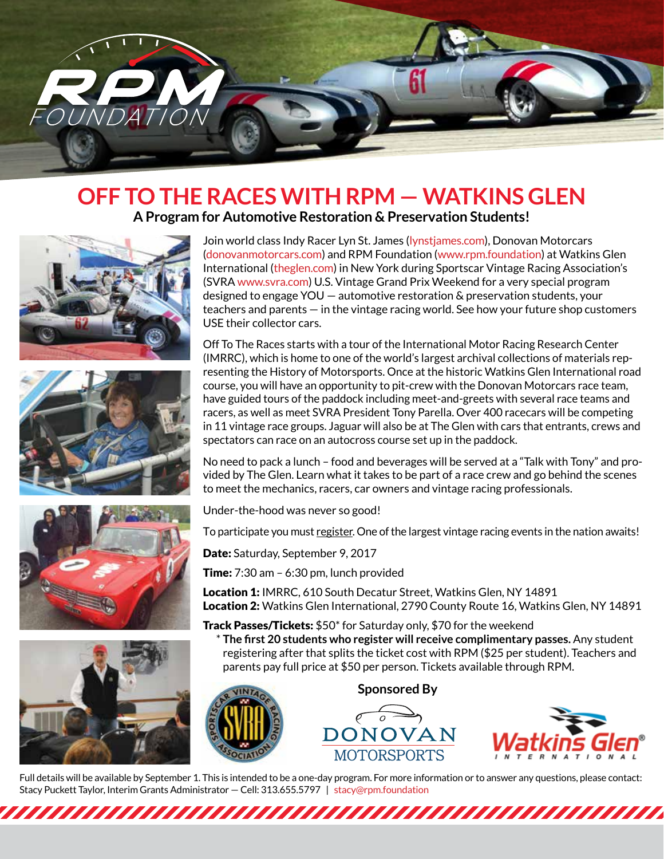

## **OFF TO THE RACES WITH RPM — WATKINS GLEN A Program for Automotive Restoration & Preservation Students!**









Join world class Indy Racer Lyn St. James (lynstjames.com), Donovan Motorcars (donovanmotorcars.com) and RPM Foundation (www.rpm.foundation) at Watkins Glen International (theglen.com) in New York during Sportscar Vintage Racing Association's (SVRA www.svra.com) U.S. Vintage Grand Prix Weekend for a very special program designed to engage YOU — automotive restoration & preservation students, your teachers and parents — in the vintage racing world. See how your future shop customers USE their collector cars.

Off To The Races starts with a tour of the International Motor Racing Research Center (IMRRC), which is home to one of the world's largest archival collections of materials representing the History of Motorsports. Once at the historic Watkins Glen International road course, you will have an opportunity to pit-crew with the Donovan Motorcars race team, have guided tours of the paddock including meet-and-greets with several race teams and racers, as well as meet SVRA President Tony Parella. Over 400 racecars will be competing in 11 vintage race groups. Jaguar will also be at The Glen with cars that entrants, crews and spectators can race on an autocross course set up in the paddock.

No need to pack a lunch – food and beverages will be served at a "Talk with Tony" and provided by The Glen. Learn what it takes to be part of a race crew and go behind the scenes to meet the mechanics, racers, car owners and vintage racing professionals.

Under-the-hood was never so good!

To participate you must register. One of the largest vintage racing events in the nation awaits!

Date: Saturday, September 9, 2017

**Time:**  $7:30$  am  $-6:30$  pm, lunch provided

Location 1: IMRRC, 610 South Decatur Street, Watkins Glen, NY 14891 Location 2: Watkins Glen International, 2790 County Route 16, Watkins Glen, NY 14891

Track Passes/Tickets: \$50\* for Saturday only, \$70 for the weekend

 \* **The first 20 students who register will receive complimentary passes.** Any student registering after that splits the ticket cost with RPM (\$25 per student). Teachers and parents pay full price at \$50 per person. Tickets available through RPM.



**Sponsored By**





Full details will be available by September 1. This is intended to be a one-day program. For more information or to answer any questions, please contact: Stacy Puckett Taylor, Interim Grants Administrator — Cell: 313.655.5797 | stacy@rpm.foundation